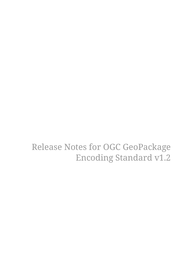Release Notes for OGC GeoPackage Encoding Standard v1.2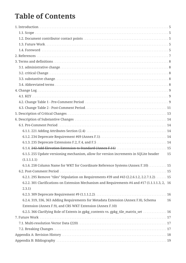## **Table of Contents**

| 6.1.5. 255 Update versioning mechanism, allow for version increments in SQLite header          | 15 |
|------------------------------------------------------------------------------------------------|----|
| (1.1.1.1.1)                                                                                    |    |
| 6.1.6. 258 Column Name for WKT for Coordinate Reference Systems (Annex F.10) 15                |    |
|                                                                                                |    |
| 6.2.1. 295 Remove "tiles" Stipulation on Requirements #39 and #43 (2.2.6.1.2, 2.2.7.1.2). 15   |    |
| 6.2.2. 301 Clarifications on Extension Mechanism and Requirements #4 and #17 (1.1.1.1.3, 2, 16 |    |
| 2.3.1)                                                                                         |    |
|                                                                                                |    |
| 6.2.4. 319, 336, 363 Adding Requirements for Metadata Extension (Annex F.8), Schema            | 16 |
| Extension (Annex F.9), and CRS WKT Extension (Annex F.10)                                      |    |
| 6.2.5. 366 Clarifying Role of Extents in gpkg_contents vs. gpkg_tile_matrix_set 16             |    |
|                                                                                                |    |
|                                                                                                |    |
|                                                                                                |    |
|                                                                                                |    |
|                                                                                                |    |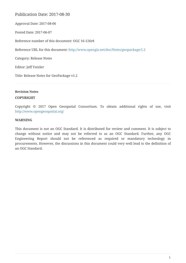### Publication Date: 2017-08-30

Approval Date: 2017-08-06

Posted Date: 2017-06-07

Reference number of this document: OGC 16-126r8

Reference URL for this document: <http://www.opengis.net/doc/Notes/geopackage/1.2>

Category: Release Notes

Editor: Jeff Yutzler

Title: Release Notes for GeoPackage v1.2

**Revision Notes**

#### **COPYRIGHT**

Copyright © 2017 Open Geospatial Consortium. To obtain additional rights of use, visit <http://www.opengeospatial.org/>

#### **WARNING**

This document is not an OGC Standard. It is distributed for review and comment. It is subject to change without notice and may not be referred to as an OGC Standard. Further, any OGC Engineering Report should not be referenced as required or mandatory technology in procurements. However, the discussions in this document could very well lead to the definition of an OGC Standard.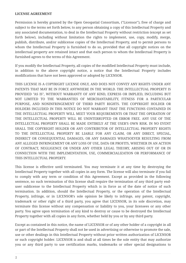#### **LICENSE AGREEMENT**

Permission is hereby granted by the Open Geospatial Consortium, ("Licensor"), free of charge and subject to the terms set forth below, to any person obtaining a copy of this Intellectual Property and any associated documentation, to deal in the Intellectual Property without restriction (except as set forth below), including without limitation the rights to implement, use, copy, modify, merge, publish, distribute, and/or sublicense copies of the Intellectual Property, and to permit persons to whom the Intellectual Property is furnished to do so, provided that all copyright notices on the intellectual property are retained intact and that each person to whom the Intellectual Property is furnished agrees to the terms of this Agreement.

If you modify the Intellectual Property, all copies of the modified Intellectual Property must include, in addition to the above copyright notice, a notice that the Intellectual Property includes modifications that have not been approved or adopted by LICENSOR.

THIS LICENSE IS A COPYRIGHT LICENSE ONLY, AND DOES NOT CONVEY ANY RIGHTS UNDER ANY PATENTS THAT MAY BE IN FORCE ANYWHERE IN THE WORLD. THE INTELLECTUAL PROPERTY IS PROVIDED "AS IS", WITHOUT WARRANTY OF ANY KIND, EXPRESS OR IMPLIED, INCLUDING BUT NOT LIMITED TO THE WARRANTIES OF MERCHANTABILITY, FITNESS FOR A PARTICULAR PURPOSE, AND NONINFRINGEMENT OF THIRD PARTY RIGHTS. THE COPYRIGHT HOLDER OR HOLDERS INCLUDED IN THIS NOTICE DO NOT WARRANT THAT THE FUNCTIONS CONTAINED IN THE INTELLECTUAL PROPERTY WILL MEET YOUR REQUIREMENTS OR THAT THE OPERATION OF THE INTELLECTUAL PROPERTY WILL BE UNINTERRUPTED OR ERROR FREE. ANY USE OF THE INTELLECTUAL PROPERTY SHALL BE MADE ENTIRELY AT THE USER'S OWN RISK. IN NO EVENT SHALL THE COPYRIGHT HOLDER OR ANY CONTRIBUTOR OF INTELLECTUAL PROPERTY RIGHTS TO THE INTELLECTUAL PROPERTY BE LIABLE FOR ANY CLAIM, OR ANY DIRECT, SPECIAL, INDIRECT OR CONSEQUENTIAL DAMAGES, OR ANY DAMAGES WHATSOEVER RESULTING FROM ANY ALLEGED INFRINGEMENT OR ANY LOSS OF USE, DATA OR PROFITS, WHETHER IN AN ACTION OF CONTRACT, NEGLIGENCE OR UNDER ANY OTHER LEGAL THEORY, ARISING OUT OF OR IN CONNECTION WITH THE IMPLEMENTATION, USE, COMMERCIALIZATION OR PERFORMANCE OF THIS INTELLECTUAL PROPERTY.

This license is effective until terminated. You may terminate it at any time by destroying the Intellectual Property together with all copies in any form. The license will also terminate if you fail to comply with any term or condition of this Agreement. Except as provided in the following sentence, no such termination of this license shall require the termination of any third party enduser sublicense to the Intellectual Property which is in force as of the date of notice of such termination. In addition, should the Intellectual Property, or the operation of the Intellectual Property, infringe, or in LICENSOR's sole opinion be likely to infringe, any patent, copyright, trademark or other right of a third party, you agree that LICENSOR, in its sole discretion, may terminate this license without any compensation or liability to you, your licensees or any other party. You agree upon termination of any kind to destroy or cause to be destroyed the Intellectual Property together with all copies in any form, whether held by you or by any third party.

Except as contained in this notice, the name of LICENSOR or of any other holder of a copyright in all or part of the Intellectual Property shall not be used in advertising or otherwise to promote the sale, use or other dealings in this Intellectual Property without prior written authorization of LICENSOR or such copyright holder. LICENSOR is and shall at all times be the sole entity that may authorize you or any third party to use certification marks, trademarks or other special designations to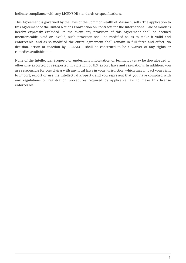indicate compliance with any LICENSOR standards or specifications.

This Agreement is governed by the laws of the Commonwealth of Massachusetts. The application to this Agreement of the United Nations Convention on Contracts for the International Sale of Goods is hereby expressly excluded. In the event any provision of this Agreement shall be deemed unenforceable, void or invalid, such provision shall be modified so as to make it valid and enforceable, and as so modified the entire Agreement shall remain in full force and effect. No decision, action or inaction by LICENSOR shall be construed to be a waiver of any rights or remedies available to it.

None of the Intellectual Property or underlying information or technology may be downloaded or otherwise exported or reexported in violation of U.S. export laws and regulations. In addition, you are responsible for complying with any local laws in your jurisdiction which may impact your right to import, export or use the Intellectual Property, and you represent that you have complied with any regulations or registration procedures required by applicable law to make this license enforceable.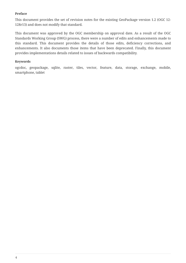#### **Preface**

This document provides the set of revision notes for the existing GeoPackage version 1.2 (OGC 12- 128r13) and does not modify that standard.

This document was approved by the OGC membership on approval date. As a result of the OGC Standards Working Group (SWG) process, there were a number of edits and enhancements made to this standard. This document provides the details of those edits, deficiency corrections, and enhancements. It also documents those items that have been deprecated. Finally, this document provides implementations details related to issues of backwards compatibility.

#### **Keywords**

ogcdoc, geopackage, sqlite, raster, tiles, vector, feature, data, storage, exchange, mobile, smartphone, tablet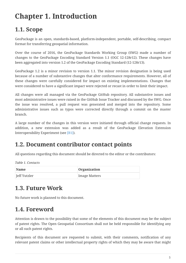## <span id="page-6-0"></span>**Chapter 1. Introduction**

## <span id="page-6-1"></span>**1.1. Scope**

GeoPackage is an open, standards-based, platform-independent, portable, self-describing, compact format for transferring geospatial information.

Over the course of 2016, the GeoPackage Standards Working Group (SWG) made a number of changes to the GeoPackage Encoding Standard Version 1.1 (OGC 12-128r12). These changes have been aggregated into version 1.2 of the GeoPackage Encoding Standard (12-128r13).

GeoPackage 1.2 is a minor revision to version 1.1. The minor revision designation is being used because of a number of substantive changes that alter conformance requirements. However, all of these changes were carefully considered for impact on existing implementations. Changes that were considered to have a significant impact were rejected or recast in order to limit their impact.

All changes were all managed via the GeoPackage GitHub repository. All substantive issues and most administrative issues were raised in the GitHub Issue Tracker and discussed by the SWG. Once the issue was resolved, a pull request was generated and merged into the repository. Some administrative issues such as typos were corrected directly through a commit on the master branch.

A large number of the changes in this version were initiated through official change requests. In addition, a new extension was added as a result of the GeoPackage Elevation Extension Interoperability Experiment (see [\[B1\]\)](#page-20-1).

### <span id="page-6-2"></span>**1.2. Document contributor contact points**

All questions regarding this document should be directed to the editor or the contributors:

*Table 1. Contacts*

| <b>Name</b>  | Organization  |
|--------------|---------------|
| Jeff Yutzler | Image Matters |

### <span id="page-6-3"></span>**1.3. Future Work**

No future work is planned to this document.

## <span id="page-6-4"></span>**1.4. Foreword**

Attention is drawn to the possibility that some of the elements of this document may be the subject of patent rights. The Open Geospatial Consortium shall not be held responsible for identifying any or all such patent rights.

Recipients of this document are requested to submit, with their comments, notification of any relevant patent claims or other intellectual property rights of which they may be aware that might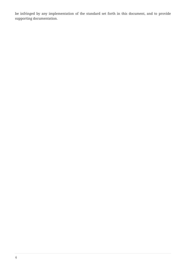be infringed by any implementation of the standard set forth in this document, and to provide supporting documentation.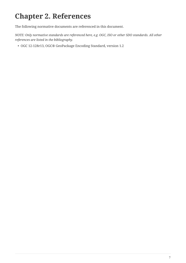## <span id="page-8-0"></span>**Chapter 2. References**

The following normative documents are referenced in this document.

*NOTE: Only normative standards are referenced here, e.g. OGC, ISO or other SDO standards. All other references are listed in the bibliography.*

• OGC 12-128r13, OGC® GeoPackage Encoding Standard, version 1.2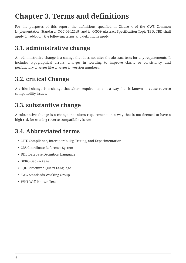## <span id="page-9-0"></span>**Chapter 3. Terms and definitions**

For the purposes of this report, the definitions specified in Clause 4 of the OWS Common Implementation Standard [OGC 06-121r9] and in OGC® Abstract Specification Topic TBD: TBD shall apply. In addition, the following terms and definitions apply.

## <span id="page-9-1"></span>**3.1. administrative change**

An administrative change is a change that does not alter the abstract tests for any requirements. It includes typographical errors, changes in wording to improve clarity or consistency, and perfunctory changes like changes in version numbers.

## <span id="page-9-2"></span>**3.2. critical Change**

A critical change is a change that alters requirements in a way that is known to cause reverse compatibility issues.

## <span id="page-9-3"></span>**3.3. substantive change**

A substantive change is a change that alters requirements in a way that is not deemed to have a high risk for causing reverse compatibility issues.

## <span id="page-9-4"></span>**3.4. Abbreviated terms**

- CITE Compliance, Interoperability, Testing, and Experimentation
- CRS Coordinate Reference System
- DDL Database Definition Language
- GPKG GeoPackage
- SQL Structured Query Language
- SWG Standards Working Group
- WKT Well Known Text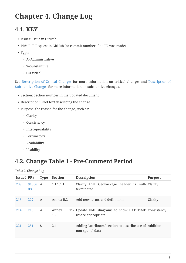## <span id="page-10-0"></span>**Chapter 4. Change Log**

## <span id="page-10-1"></span>**4.1. KEY**

- Issue#: Issue in GitHub
- PR#: Pull Request in GitHub (or commit number if no PR was made)
- Type:
	- A=Administrative
	- S=Substantive
	- C=Critical

See [Description of Critical Changes](#page-14-0) for more information on critical changes and [Description of](#page-15-0) [Substantive Changes](#page-15-0) for more information on substantive changes.

- Section: Section number in the updated document
- Description: Brief text describing the change
- Purpose: the reason for the change, such as:
	- Clarity
	- Consistency
	- Interoperability
	- Perfunctory
	- Readability
	- Usability

### <span id="page-10-2"></span>**4.2. Change Table 1 - Pre-Comment Period**

*Table 2. Change Log*

| Issue# $PR#$ |             | <b>Type</b>  | <b>Section</b> | <b>Description</b>                                                          | <b>Purpose</b> |
|--------------|-------------|--------------|----------------|-----------------------------------------------------------------------------|----------------|
| 209          | 91006<br>d3 | $\mathsf{A}$ | 1.1.1.1.1      | Clarify that GeoPackage header is null- Clarity<br>terminated               |                |
| 213          | 227         | A            | Annex B.2      | Add new terms and definitions                                               | Clarity        |
| 214          | 219         | A            | Annex<br>13    | B.11- Update UML diagrams to show DATETIME Consistency<br>where appropriate |                |
| 221          | 251         | S            | 2.4            | Adding "attributes" section to describe use of Addition<br>non-spatial data |                |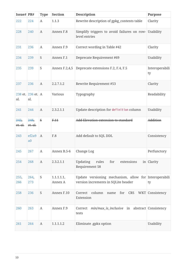| Issue# PR#      |                          | <b>Type</b>      | <b>Section</b>        | <b>Description</b>                                                                           | <b>Purpose</b>       |
|-----------------|--------------------------|------------------|-----------------------|----------------------------------------------------------------------------------------------|----------------------|
| 222             | 224                      | $\boldsymbol{A}$ | 1.1.3                 | Rewrite description of gpkg_contents table                                                   | Clarity              |
| 228             | 240                      | $\mathbf{A}$     | Annex F.8             | Simplify triggers to avoid failures on row- Usability<br>level entries                       |                      |
| 231             | 236                      | A                | Annex F.9             | Correct wording in Table #42                                                                 | Clarity              |
| 234             | 239                      | ${\mathsf S}$    | Annex F.1             | Deprecate Requirement #69                                                                    | Usability            |
| 235             | 239                      | S                | Annex F.2,4,5         | Deprecate extensions F.2, F.4, F.5                                                           | Interoperabili<br>ty |
| 237             | 236                      | $\boldsymbol{A}$ | 2.2.7.1.2             | Rewrite Requirement #53                                                                      | Clarity              |
| al.             | 238 et. 236 et. A<br>al. |                  | Various               | Typography                                                                                   | Readability          |
| 241             | 244                      | $\mathbf{A}$     | 2.3.2.1.1             | Update description for definition column                                                     | Usability            |
| 242,<br>et. al. | 248,<br>$et.$ al.        | $\mathbf{s}$     | F.11                  | Add Elevation extension to standard                                                          | Addition             |
| 243             | ef2a9<br>a <sub>0</sub>  | $\mathbf{A}$     | F.8                   | Add default to SQL DDL                                                                       | Consistency          |
| 245             | 267                      | $\mathbf{A}$     | Annex B.5-6           | Change Log                                                                                   | Perfunctory          |
| 254             | 268                      | $\boldsymbol{A}$ | 2.3.2.1.1             | <b>Updating</b><br>rules<br>for<br>extensions<br>Requirement 58                              | in Clarity           |
| 255,<br>266     | 264,<br>273              | ${\mathsf S}$    | 1.1.1.1.1,<br>Annex A | Update versioning mechanism, allow for Interoperabili<br>version increments in SQLite header | ty                   |
| 258             | 236                      | ${\mathsf S}$    | Annex F.10            | Correct<br>column<br>CRS<br>for<br>name<br>Extension                                         | WKT Consistency      |
| 260             | 263                      | A                | Annex F.9             | <i>min/max_is_inclusive</i> in abstract Consistency<br>Correct<br>tests                      |                      |
| 261             | 264                      | $\boldsymbol{A}$ | 1.1.1.1.2             | Eliminate .gpkx option<br>Usability                                                          |                      |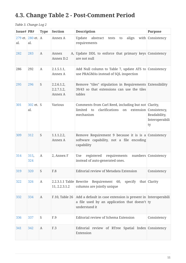## <span id="page-12-0"></span>**4.3. Change Table 2 - Post-Comment Period**

*Table 3. Change Log 2*

| Issue# PR# |                          | <b>Type</b>      | <b>Section</b>                             | <b>Description</b>                                                                                                             | <b>Purpose</b>                                                 |
|------------|--------------------------|------------------|--------------------------------------------|--------------------------------------------------------------------------------------------------------------------------------|----------------------------------------------------------------|
| al.        | 279 et. 280 et. A<br>al. |                  | Annex A                                    | Update<br>align<br>abstract<br>tests<br>to<br>requirements                                                                     | with Consistency                                               |
| 282        | 283                      | $\boldsymbol{A}$ | Annex<br>Annex D.2                         | A, Update DDL to enforce that primary keys Consistency<br>are not null                                                         |                                                                |
| 286        | 292                      | A                | 2.1.5.1.1,<br>Annex A                      | Add Null column to Table 7, update ATS to Consistency<br>use PRAGMAs instead of SQL inspection                                 |                                                                |
| 295        | 296                      | S                | 2.2.6.1.2,<br>2.2.7.1.2,<br>Annex A        | Remove "tiles" stipulation in Requirements Extensibility<br>39/43 so that extensions can use the tiles<br>tables               |                                                                |
| 301        | 302 et. S<br>al.         |                  | <b>Various</b>                             | Comments from Carl Reed, including but not Clarity,<br>clarifications on<br>limited<br>to<br>mechanism                         | extension Consistency,<br>Readability,<br>Interoperabili<br>ty |
| 309        | 312                      | S                | 1.1.1.2.2,<br>Annex A                      | Remove Requirement 9 because it is is a Consistency<br>software capability, not a file encoding<br>capability                  |                                                                |
| 314        | 315,<br>324              | $\boldsymbol{A}$ | 2, Annex F                                 | requirements<br>registered<br>Use<br>instead of auto-generated ones.                                                           | numbers Consistency                                            |
| 319        | 320                      | S                | F.8                                        | Editorial review of Metadata Extension                                                                                         | Consistency                                                    |
| 322        | 326                      | $\boldsymbol{A}$ | $2.2.3.1.1$ Table Rewrite<br>11, 2.2.3.1.2 | Requirement 60,<br>specify<br>columns are jointly unique                                                                       | that Clarity                                                   |
| 332        | 334                      | A                | F.10, Table 26                             | Add a default in case extension is present in Interoperabili<br>a file used by an application that doesn't ty<br>understand it |                                                                |
| 336        | 337                      | S                | F.9                                        | Editorial review of Schema Extension                                                                                           | Consistency                                                    |
| 341        | 342                      | A                | F.3                                        | Editorial review of RTree Spatial Index Consistency<br>Extension                                                               |                                                                |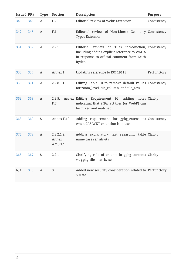| Issue# PR# |     | <b>Type</b>      | <b>Section</b>                   | <b>Description</b>                                                                                                                                        | <b>Purpose</b> |
|------------|-----|------------------|----------------------------------|-----------------------------------------------------------------------------------------------------------------------------------------------------------|----------------|
| 345        | 346 | A                | F.7                              | <b>Editorial review of WebP Extension</b>                                                                                                                 | Consistency    |
| 347        | 348 | $\mathbf{A}$     | F.1                              | Editorial review of Non-Linear Geometry Consistency<br><b>Types Extension</b>                                                                             |                |
| 351        | 352 | A                | 2.2.1                            | Editorial review of Tiles introduction, Consistency<br>including adding explicit reference to WMTS<br>in response to official comment from Keith<br>Ryden |                |
| 356        | 357 | A                | Annex I                          | Updating reference to ISO 19115                                                                                                                           | Perfunctory    |
| 358        | 371 | A                | 2.2.8.1.1                        | Editing Table 10 to remove default values Consistency<br>for zoom_level, tile_column, and tile_row                                                        |                |
| 362        | 368 | $\boldsymbol{A}$ | 2.2.5,<br>F.7                    | Annex Editing Requirement 92, adding notes Clarity<br>indicating that PNG/JPG tiles (or WebP) can<br>be mixed and matched                                 |                |
| 363        | 369 | S                | Annex F.10                       | Adding requirement for gpkg_extensions Consistency<br>when CRS WKT extension is in use                                                                    |                |
| 375        | 378 | $\boldsymbol{A}$ | 2.3.2.1.2,<br>Annex<br>A.2.3.1.1 | Adding explanatory text regarding table Clarity<br>name case sensitivity                                                                                  |                |
| 366        | 367 | S                | 2.2.1                            | Clarifying role of extents in gpkg_contents Clarity<br>vs. gpkg_tile_matrix_set                                                                           |                |
| N/A        | 376 | $\boldsymbol{A}$ | $\mathbf{3}$                     | Added new security consideration related to Perfunctory<br>SQLite                                                                                         |                |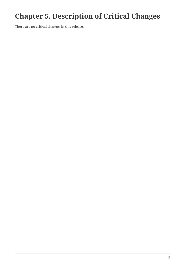## <span id="page-14-0"></span>**Chapter 5. Description of Critical Changes**

There are no critical changes in this release.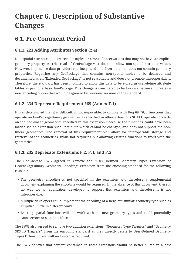## <span id="page-15-0"></span>**Chapter 6. Description of Substantive Changes**

### <span id="page-15-1"></span>**6.1. Pre-Comment Period**

### <span id="page-15-2"></span>**6.1.1. 221 Adding Attributes Section (2.4)**

Non-spatial attribute data are sets (or tuples or rows) of observations that may not have an explicit geometry property. A strict read of GeoPackage v1.1 does not allow non-spatial attribute values. However, in practice data providers routinely need to deliver data that does not contain geometry properties. Requiring any GeoPackage that contains non-spatial tables to be declared and documented as an "Extended GeoPackage" is not reasonable and does not promote interoperability. Therefore, the standard has been modified to allow this data to be stored in user-define attribute tables as part of a basic GeoPackage. This change is considered to be low-risk because it creates a new encoding option that would be ignored by previous versions of the standard.

### <span id="page-15-3"></span>**6.1.2. 234 Deprecate Requirement #69 (Annex F.1)**

It was determined that it is difficult, if not impossible, to comply with Req 69 "SQL functions that operate on GeoPackageBinary geometries as specified in other extensions SHALL operate correctly on the non-linear geometries specified in this extension." because the functions could have been loaded via an extension such SpatiaLite which cannot be changed, and does not support the nonlinear geometries. The removal of this requirement will allow for interoperable storage and retrieval of the geometries, while not requiring but allowing existing functions to work with the geometries.

### <span id="page-15-4"></span>**6.1.3. 235 Deprecate Extensions F.2, F.4, and F.5**

The GeoPackage SWG agreed to remove the "User Defined Geometry Types Extension of GeoPackageBinary Geometry Encoding" extension from the encoding standard for the following reasons:

- The geometry encoding is not specified in the extension and therefore a supplemental document explaining the encoding would be required. In the absence of this document, there is no way for an application developer to support this extension and therefore it is not interoperable.
- Multiple developers could implement the encoding of a new, but similar geometry type such as EllipiticalCurve in different ways.
- Existing spatial functions will not work with the new geometry types and could potentially cause errors or skip data if used.

The SWG also agreed to remove two addition extensions, "Geometry Type Triggers" and "Geometry SRS ID Triggers", from the encoding standard as they directly relate to User-Defined Geometry Types Extension and will no longer be required.

The SWG believes that content contained in these extensions would be better suited in a best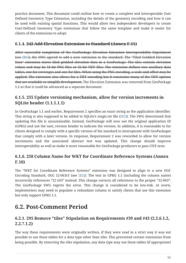practice document. This document could outline how to create a complete and interoperable User Defined Geometry Type Extension, including the details of the geometry encoding and how it can be used with existing spatial functions. This would allow two independent developers to create User-Defined Geometry Type extensions that follow the same template and make it easier for clients of the extensions to adopt.

### <span id="page-16-0"></span>**6.1.4. 242 Add Elevation Extension to Standard (Annex F.11)**

After successful completion of the GeoPackage Elevation Extension Interoperability Experiment (see [\[B1\]](#page-20-1)), the SWG agreed to add a new extension to the standard. The "Tiled Gridded Elevation Data" extension stores tiled gridded elevation data in a GeoPackage. The tiles contain elevation values and may be 16-bit PNG files or 32-bit TIFF files. The extension defines two ancillary data tables, one for coverages and one for tiles. When using the PNG encoding, a scale and offset may be applied. The extension also allows for a TIFF encoding but it constrains many of the TIFF options that are available to simplify development. The Elevation Extension was removed from GeoPackage 1.2 so that it could be advanced as a separate document.

### <span id="page-16-1"></span>**6.1.5. 255 Update versioning mechanism, allow for version increments in SQLite header (1.1.1.1.1)**

In GeoPackage 1.1 and earlier, Requirement 2 specifies an exact string as the application identifier. This string is also supposed to be added to SQLite's magic.txt file [\(\[B3\]\)](#page-20-2). The SWG determined that updating this file is unsustainable. Instead, GeoPackage will now use the original application ID (GPKG) and use the user version header to indicate the version. In addition, it is reasonable to for clients designed to comply with a specific version of the standard to interoperate with GeoPackages that comply with a later version. In response, Requirement 2 was reworded to allow for version increments and the associated abstract test was updated. This change should improve interoperability as well as make it more reasonable for GeoPackage producers to pass CITE tests.

### <span id="page-16-2"></span>**6.1.6. 258 Column Name for WKT for Coordinate Reference Systems (Annex F.10)**

The "WKT for Coordinate Reference Systems" extension was designed to align to a new OGC Encoding Standard, OGC 12-063r5 (see [\[B2\]\)](#page-20-3). The text in GPKG 1.1 (including the column name) incorrectly references "12-163" instead. This change corrects all references to the proper "12-063". The GeoPackage SWG regrets the error. This change is considered to be low-risk. At worst, implementers may need to populate a redundant column to satisfy clients that use this extension but only support GPKG 1.1.

## <span id="page-16-3"></span>**6.2. Post-Comment Period**

### <span id="page-16-4"></span>**6.2.1. 295 Remove "tiles" Stipulation on Requirements #39 and #43 (2.2.6.1.2, 2.2.7.1.2)**

The way these requirements were originally written, if they were read in a strict way it was not possible to use these tables for a data type other than *tiles*. This prevented certain extensions from being possible. By removing the *tiles* stipulation, any data type may use these tables (if appropriate)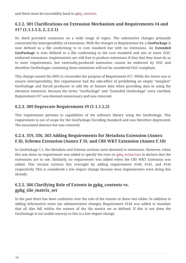### <span id="page-17-0"></span>**6.2.2. 301 Clarifications on Extension Mechanism and Requirements #4 and #17 (1.1.1.1.3, 2, 2.3.1)**

Dr. Reed provided comments on a wide range of topics. The substantive changes primarily concerned the interoperability of extensions. With the changes to Requirement #4, a **GeoPackage** is now defined as a file conforming to to core standard but with no extensions. An **Extended GeoPackage** is now defined as a file conforming to the core standard and one or more OGCendorsed extensions. Implementers are still free to produce extensions if they feel they must do so to meet requirements, but externally-produced extensions cannot be endorsed by OGC and therefore GeoPackages containing these extensions will not be considered OGC-compliant.

This change caused the SWG to reconsider the purpose of Requirement #17. While the intent was to ensure interoperability, this requirement had the side-effect of prohibiting an empty "template" GeoPackage and forced producers to add tile or feature data when providing data in using the elevation extension. Because the terms "GeoPackage" and "Extended GeoPackage" were clarified, Requirement #17 was deemed unnecessary and was removed.

### <span id="page-17-1"></span>**6.2.3. 309 Deprecate Requirement #9 (1.1.1.2.2)**

This requirement pertains to capabilities of the software library using the GeoPackage. This requirement is out of scope for the GeoPackage Encoding Standard and was therefore deprecated. The associated abstract test was removed.

### <span id="page-17-2"></span>**6.2.4. 319, 336, 363 Adding Requirements for Metadata Extension (Annex F.8), Schema Extension (Annex F.9), and CRS WKT Extension (Annex F.10)**

In GeoPackage 1.1, the Metadata and Schema sections were demoted to extensions. However, when this was done no requirement was added to specify the rows in gpkg\_extensions to declare that the extensions are in use. Similarly, no requirement was added when the CRS WKT Extension was added. This version corrects this oversight by adding requirements #140, #141, and #145 respectively. This is considered a low impact change because most implementers were doing this already.

### <span id="page-17-3"></span>**6.2.5. 366 Clarifying Role of Extents in gpkg\_contents vs. gpkg\_tile\_matrix\_set**

In the past there has been confusion over the role of the extents in these two tables. In addition to adding informative notes (an administrative change), Requirement #144 was added to mandate that all tiles fall within the extents of the tile matrix set as defined. If this is not done the GeoPackage is not usable anyway so this is a low impact change.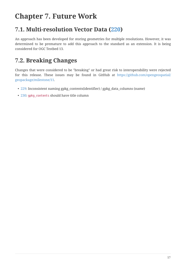## <span id="page-18-0"></span>**Chapter 7. Future Work**

### <span id="page-18-1"></span>**7.1. Multi-resolution Vector Data [\(220](https://github.com/opengeospatial/geopackage/issues/220))**

An approach has been developed for storing geometries for multiple resolutions. However, it was determined to be premature to add this approach to the standard as an extension. It is being considered for OGC Testbed 13.

## <span id="page-18-2"></span>**7.2. Breaking Changes**

Changes that were considered to be "breaking" or had great risk to interoperability were rejected for this release. These issues may be found in GitHub at [https://github.com/opengeospatial/](https://github.com/opengeospatial/geopackage/milestone/11) [geopackage/milestone/11](https://github.com/opengeospatial/geopackage/milestone/11).

- [229:](https://github.com/opengeospatial/geopackage/issues/229) Inconsistent naming gpkg\_contents(identifier) / gpkg\_data\_columns (name)
- [230:](https://github.com/opengeospatial/geopackage/issues/230) gpkg\_contents should have title column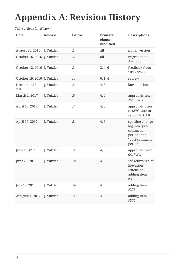# <span id="page-19-0"></span>**Appendix A: Revision History**

#### *Table 4. Revision History*

| <b>Date</b>                 | Release    | <b>Editor</b> | Primary<br>clauses<br>modified | <b>Descriptions</b>                                                                      |
|-----------------------------|------------|---------------|--------------------------------|------------------------------------------------------------------------------------------|
| August 30, 2016             | J. Yutzler | $\cdot$ 1     | all                            | initial version                                                                          |
| October 16, 2016 J. Yutzler |            | $\cdot$ .2    | all                            | migration to<br>Asciidoc                                                                 |
| October 18, 2016 J. Yutzler |            | .3            | 3, 4, 6                        | feedback from<br>10/17 SWG                                                               |
| October 19, 2016 J. Yutzler |            | $\cdot$       | 0, 1, 4                        | review                                                                                   |
| December 13,<br>2016        | J. Yutzler | .5            | 4,6                            | late additions                                                                           |
| March 1, 2017               | J. Yutzler | .6            | 4,6                            | approvals from<br>$2/27$ SWG                                                             |
| April 18, 2017              | J. Yutzler | .7            | 4,6                            | approvals prior<br>to SWG vote to<br>return to OAB                                       |
| April 19, 2017              | J. Yutzler | .8            | 4,6                            | splitting change<br>log into "pre-<br>comment<br>period" and<br>"post-comment<br>period" |
| June 2, 2017                | J. Yutzler | .9            | 4,6                            | approvals from<br>$6/2$ SWG                                                              |
| June 27, 2017               | J. Yutzler | .91           | 4,6                            | strikethrough of<br>Elevation<br>Extension,<br>adding item<br>#358                       |
| July 18, 2017               | J. Yutzler | .92           | $\overline{4}$                 | adding item<br>#376                                                                      |
| <b>Auugust 1, 2017</b>      | J. Yutzler | .93           | $\overline{4}$                 | adding item<br>#375                                                                      |